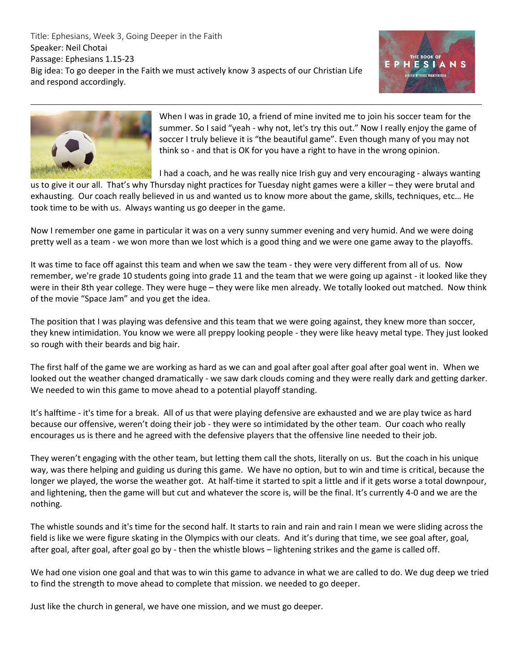Title: Ephesians, Week 3, Going Deeper in the Faith Speaker: Neil Chotai Passage: Ephesians 1.15-23 Big idea: To go deeper in the Faith we must actively know 3 aspects of our Christian Life and respond accordingly.





When I was in grade 10, a friend of mine invited me to join his soccer team for the summer. So I said "yeah - why not, let's try this out." Now I really enjoy the game of soccer I truly believe it is "the beautiful game". Even though many of you may not think so - and that is OK for you have a right to have in the wrong opinion.

I had a coach, and he was really nice Irish guy and very encouraging - always wanting

us to give it our all. That's why Thursday night practices for Tuesday night games were a killer – they were brutal and exhausting. Our coach really believed in us and wanted us to know more about the game, skills, techniques, etc… He took time to be with us. Always wanting us go deeper in the game.

Now I remember one game in particular it was on a very sunny summer evening and very humid. And we were doing pretty well as a team - we won more than we lost which is a good thing and we were one game away to the playoffs.

It was time to face off against this team and when we saw the team - they were very different from all of us. Now remember, we're grade 10 students going into grade 11 and the team that we were going up against - it looked like they were in their 8th year college. They were huge – they were like men already. We totally looked out matched. Now think of the movie "Space Jam" and you get the idea.

The position that I was playing was defensive and this team that we were going against, they knew more than soccer, they knew intimidation. You know we were all preppy looking people - they were like heavy metal type. They just looked so rough with their beards and big hair.

The first half of the game we are working as hard as we can and goal after goal after goal after goal went in. When we looked out the weather changed dramatically - we saw dark clouds coming and they were really dark and getting darker. We needed to win this game to move ahead to a potential playoff standing.

It's halftime - it's time for a break. All of us that were playing defensive are exhausted and we are play twice as hard because our offensive, weren't doing their job - they were so intimidated by the other team. Our coach who really encourages us is there and he agreed with the defensive players that the offensive line needed to their job.

They weren't engaging with the other team, but letting them call the shots, literally on us. But the coach in his unique way, was there helping and guiding us during this game. We have no option, but to win and time is critical, because the longer we played, the worse the weather got. At half-time it started to spit a little and if it gets worse a total downpour, and lightening, then the game will but cut and whatever the score is, will be the final. It's currently 4-0 and we are the nothing.

The whistle sounds and it's time for the second half. It starts to rain and rain and rain I mean we were sliding across the field is like we were figure skating in the Olympics with our cleats. And it's during that time, we see goal after, goal, after goal, after goal, after goal go by - then the whistle blows – lightening strikes and the game is called off.

We had one vision one goal and that was to win this game to advance in what we are called to do. We dug deep we tried to find the strength to move ahead to complete that mission. we needed to go deeper.

Just like the church in general, we have one mission, and we must go deeper.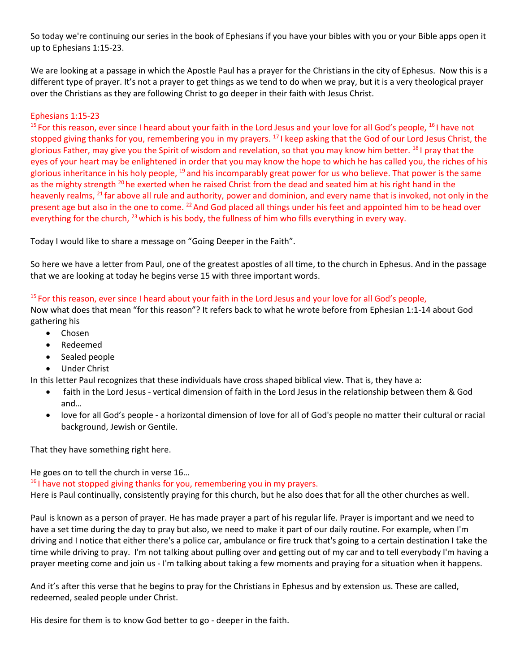So today we're continuing our series in the book of Ephesians if you have your bibles with you or your Bible apps open it up to Ephesians 1:15-23.

We are looking at a passage in which the Apostle Paul has a prayer for the Christians in the city of Ephesus. Now this is a different type of prayer. It's not a prayer to get things as we tend to do when we pray, but it is a very theological prayer over the Christians as they are following Christ to go deeper in their faith with Jesus Christ.

## Ephesians 1:15-23

 $15$  For this reason, ever since I heard about your faith in the Lord Jesus and your love for all God's people,  $16$  have not stopped giving thanks for you, remembering you in my prayers. <sup>17</sup> I keep asking that the God of our Lord Jesus Christ, the glorious Father, may give you the Spirit of wisdom and revelation, so that you may know him better. <sup>18</sup> I pray that the eyes of your heart may be enlightened in order that you may know the hope to which he has called you, the riches of his glorious inheritance in his holy people, <sup>19</sup> and his incomparably great power for us who believe. That power is the same as the mighty strength <sup>20</sup> he exerted when he raised Christ from the dead and seated him at his right hand in the heavenly realms, <sup>21</sup> far above all rule and authority, power and dominion, and every name that is invoked, not only in the present age but also in the one to come. <sup>22</sup> And God placed all things under his feet and appointed him to be head over everything for the church, <sup>23</sup> which is his body, the fullness of him who fills everything in every way.

Today I would like to share a message on "Going Deeper in the Faith".

So here we have a letter from Paul, one of the greatest apostles of all time, to the church in Ephesus. And in the passage that we are looking at today he begins verse 15 with three important words.

# <sup>15</sup> For this reason, ever since I heard about your faith in the Lord Jesus and your love for all God's people,

Now what does that mean "for this reason"? It refers back to what he wrote before from Ephesian 1:1-14 about God gathering his

- Chosen
- Redeemed
- Sealed people
- Under Christ

In this letter Paul recognizes that these individuals have cross shaped biblical view. That is, they have a:

- faith in the Lord Jesus vertical dimension of faith in the Lord Jesus in the relationship between them & God and…
- love for all God's people a horizontal dimension of love for all of God's people no matter their cultural or racial background, Jewish or Gentile.

That they have something right here.

He goes on to tell the church in verse 16…

<sup>16</sup> I have not stopped giving thanks for you, remembering you in my prayers.

Here is Paul continually, consistently praying for this church, but he also does that for all the other churches as well.

Paul is known as a person of prayer. He has made prayer a part of his regular life. Prayer is important and we need to have a set time during the day to pray but also, we need to make it part of our daily routine. For example, when I'm driving and I notice that either there's a police car, ambulance or fire truck that's going to a certain destination I take the time while driving to pray. I'm not talking about pulling over and getting out of my car and to tell everybody I'm having a prayer meeting come and join us - I'm talking about taking a few moments and praying for a situation when it happens.

And it's after this verse that he begins to pray for the Christians in Ephesus and by extension us. These are called, redeemed, sealed people under Christ.

His desire for them is to know God better to go - deeper in the faith.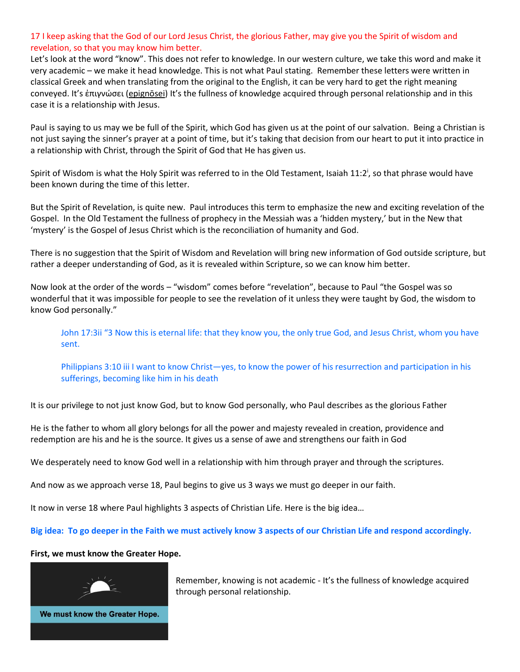### 17 I keep asking that the God of our Lord Jesus Christ, the glorious Father, may give you the Spirit of wisdom and revelation, so that you may know him better.

Let's look at the word "know". This does not refer to knowledge. In our western culture, we take this word and make it very academic – we make it head knowledge. This is not what Paul stating. Remember these letters were written in classical Greek and when translating from the original to the English, it can be very hard to get the right meaning conveyed. It's ἐπιγνώσει ([epignōsei](https://biblehub.com/greek/epigno_sei_1922.htm)) It's the fullness of knowledge acquired through personal relationship and in this case it is a relationship with Jesus.

Paul is saying to us may we be full of the Spirit, which God has given us at the point of our salvation. Being a Christian is not just saying the sinner's prayer at a point of time, but it's taking that decision from our heart to put it into practice in a relationship with Christ, through the Spirit of God that He has given us.

Spirit of Wisdom is what the Holy Spirit was referred to in the Old Testament, Isaiah 11:2<sup>i</sup>, so that phrase would have been known during the time of this letter.

But the Spirit of Revelation, is quite new. Paul introduces this term to emphasize the new and exciting revelation of the Gospel. In the Old Testament the fullness of prophecy in the Messiah was a 'hidden mystery,' but in the New that 'mystery' is the Gospel of Jesus Christ which is the reconciliation of humanity and God.

There is no suggestion that the Spirit of Wisdom and Revelation will bring new information of God outside scripture, but rather a deeper understanding of God, as it is revealed within Scripture, so we can know him better.

Now look at the order of the words – "wisdom" comes before "revelation", because to Paul "the Gospel was so wonderful that it was impossible for people to see the revelation of it unless they were taught by God, the wisdom to know God personally."

John 17:3ii "3 Now this is eternal life: that they know you, the only true God, and Jesus Christ, whom you have sent.

Philippians 3:10 iii I want to know Christ—yes, to know the power of his resurrection and participation in his sufferings, becoming like him in his death

It is our privilege to not just know God, but to know God personally, who Paul describes as the glorious Father

He is the father to whom all glory belongs for all the power and majesty revealed in creation, providence and redemption are his and he is the source. It gives us a sense of awe and strengthens our faith in God

We desperately need to know God well in a relationship with him through prayer and through the scriptures.

And now as we approach verse 18, Paul begins to give us 3 ways we must go deeper in our faith.

It now in verse 18 where Paul highlights 3 aspects of Christian Life. Here is the big idea…

**Big idea: To go deeper in the Faith we must actively know 3 aspects of our Christian Life and respond accordingly.**

### **First, we must know the Greater Hope.**



Remember, knowing is not academic - It's the fullness of knowledge acquired through personal relationship.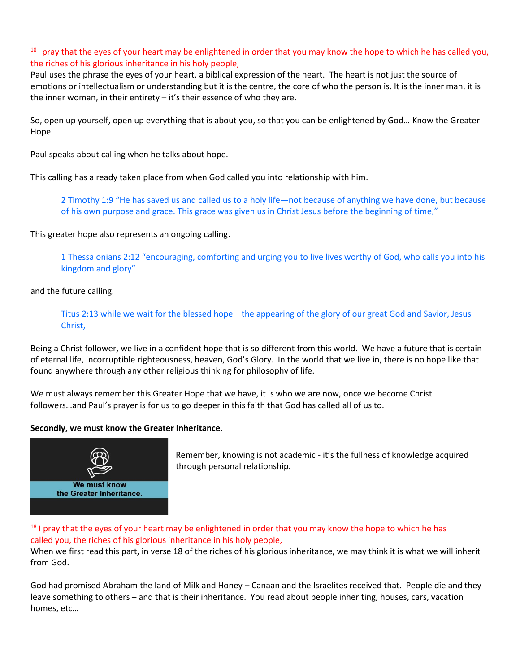$<sup>18</sup>$  I pray that the eyes of your heart may be enlightened in order that you may know the hope to which he has called you,</sup> the riches of his glorious inheritance in his holy people,

Paul uses the phrase the eyes of your heart, a biblical expression of the heart. The heart is not just the source of emotions or intellectualism or understanding but it is the centre, the core of who the person is. It is the inner man, it is the inner woman, in their entirety – it's their essence of who they are.

So, open up yourself, open up everything that is about you, so that you can be enlightened by God… Know the Greater Hope.

Paul speaks about calling when he talks about hope.

This calling has already taken place from when God called you into relationship with him.

2 Timothy 1:9 "He has saved us and called us to a holy life—not because of anything we have done, but because of his own purpose and grace. This grace was given us in Christ Jesus before the beginning of time,"

This greater hope also represents an ongoing calling.

1 Thessalonians 2:12 "encouraging, comforting and urging you to live lives worthy of God, who calls you into his kingdom and glory"

and the future calling.

Titus 2:13 while we wait for the blessed hope—the appearing of the glory of our great God and Savior, Jesus Christ,

Being a Christ follower, we live in a confident hope that is so different from this world. We have a future that is certain of eternal life, incorruptible righteousness, heaven, God's Glory. In the world that we live in, there is no hope like that found anywhere through any other religious thinking for philosophy of life.

We must always remember this Greater Hope that we have, it is who we are now, once we become Christ followers…and Paul's prayer is for us to go deeper in this faith that God has called all of us to.

### **Secondly, we must know the Greater Inheritance.**



Remember, knowing is not academic - it's the fullness of knowledge acquired through personal relationship.

## $18$  I pray that the eyes of your heart may be enlightened in order that you may know the hope to which he has called you, the riches of his glorious inheritance in his holy people,

When we first read this part, in verse 18 of the riches of his glorious inheritance, we may think it is what we will inherit from God.

God had promised Abraham the land of Milk and Honey – Canaan and the Israelites received that. People die and they leave something to others – and that is their inheritance. You read about people inheriting, houses, cars, vacation homes, etc…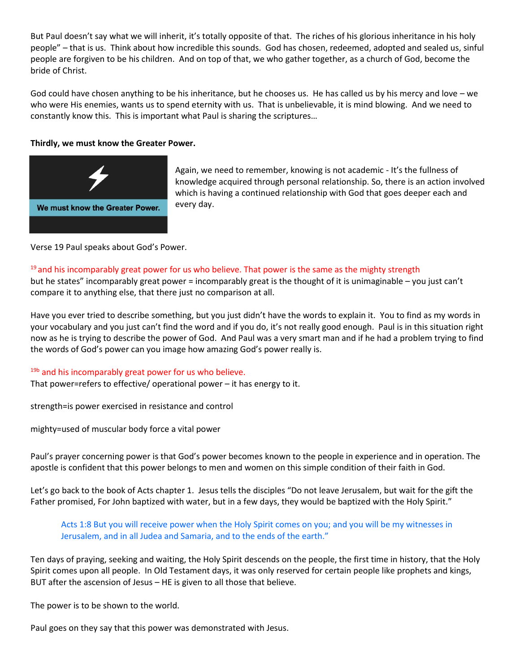But Paul doesn't say what we will inherit, it's totally opposite of that. The riches of his glorious inheritance in his holy people" – that is us. Think about how incredible this sounds. God has chosen, redeemed, adopted and sealed us, sinful people are forgiven to be his children. And on top of that, we who gather together, as a church of God, become the bride of Christ.

God could have chosen anything to be his inheritance, but he chooses us. He has called us by his mercy and love – we who were His enemies, wants us to spend eternity with us. That is unbelievable, it is mind blowing. And we need to constantly know this. This is important what Paul is sharing the scriptures…

### **Thirdly, we must know the Greater Power.**



Again, we need to remember, knowing is not academic - It's the fullness of knowledge acquired through personal relationship. So, there is an action involved which is having a continued relationship with God that goes deeper each and every day.

Verse 19 Paul speaks about God's Power.

# <sup>19</sup> and his incomparably great power for us who believe. That power is the same as the mighty strength

but he states" incomparably great power = incomparably great is the thought of it is unimaginable – you just can't compare it to anything else, that there just no comparison at all.

Have you ever tried to describe something, but you just didn't have the words to explain it. You to find as my words in your vocabulary and you just can't find the word and if you do, it's not really good enough. Paul is in this situation right now as he is trying to describe the power of God. And Paul was a very smart man and if he had a problem trying to find the words of God's power can you image how amazing God's power really is.

### <sup>19b</sup> and his incomparably great power for us who believe.

That power=refers to effective/ operational power – it has energy to it.

strength=is power exercised in resistance and control

mighty=used of muscular body force a vital power

Paul's prayer concerning power is that God's power becomes known to the people in experience and in operation. The apostle is confident that this power belongs to men and women on this simple condition of their faith in God.

Let's go back to the book of Acts chapter 1. Jesus tells the disciples "Do not leave Jerusalem, but wait for the gift the Father promised, For John baptized with water, but in a few days, they would be baptized with the Holy Spirit."

Acts 1:8 But you will receive power when the Holy Spirit comes on you; and you will be my witnesses in Jerusalem, and in all Judea and Samaria, and to the ends of the earth."

Ten days of praying, seeking and waiting, the Holy Spirit descends on the people, the first time in history, that the Holy Spirit comes upon all people. In Old Testament days, it was only reserved for certain people like prophets and kings, BUT after the ascension of Jesus – HE is given to all those that believe.

The power is to be shown to the world.

Paul goes on they say that this power was demonstrated with Jesus.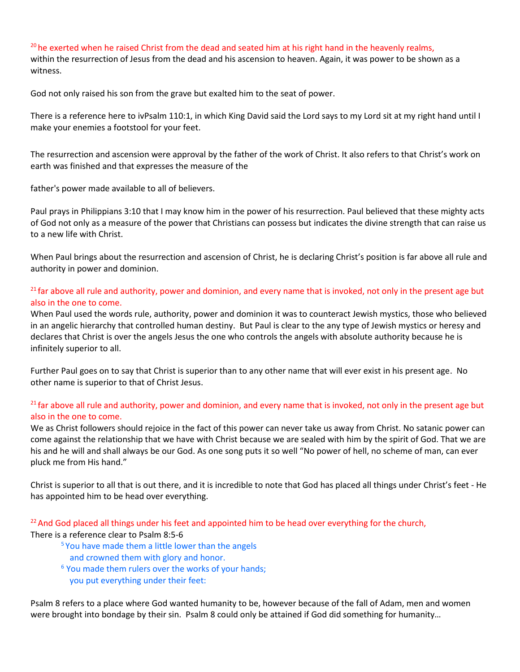$20$  he exerted when he raised Christ from the dead and seated him at his right hand in the heavenly realms, within the resurrection of Jesus from the dead and his ascension to heaven. Again, it was power to be shown as a witness.

God not only raised his son from the grave but exalted him to the seat of power.

There is a reference here to ivPsalm 110:1, in which King David said the Lord says to my Lord sit at my right hand until I make your enemies a footstool for your feet.

The resurrection and ascension were approval by the father of the work of Christ. It also refers to that Christ's work on earth was finished and that expresses the measure of the

father's power made available to all of believers.

Paul prays in Philippians 3:10 that I may know him in the power of his resurrection. Paul believed that these mighty acts of God not only as a measure of the power that Christians can possess but indicates the divine strength that can raise us to a new life with Christ.

When Paul brings about the resurrection and ascension of Christ, he is declaring Christ's position is far above all rule and authority in power and dominion.

## $21$  far above all rule and authority, power and dominion, and every name that is invoked, not only in the present age but also in the one to come.

When Paul used the words rule, authority, power and dominion it was to counteract Jewish mystics, those who believed in an angelic hierarchy that controlled human destiny. But Paul is clear to the any type of Jewish mystics or heresy and declares that Christ is over the angels Jesus the one who controls the angels with absolute authority because he is infinitely superior to all.

Further Paul goes on to say that Christ is superior than to any other name that will ever exist in his present age. No other name is superior to that of Christ Jesus.

## <sup>21</sup> far above all rule and authority, power and dominion, and every name that is invoked, not only in the present age but also in the one to come.

We as Christ followers should rejoice in the fact of this power can never take us away from Christ. No satanic power can come against the relationship that we have with Christ because we are sealed with him by the spirit of God. That we are his and he will and shall always be our God. As one song puts it so well "No power of hell, no scheme of man, can ever pluck me from His hand."

Christ is superior to all that is out there, and it is incredible to note that God has placed all things under Christ's feet - He has appointed him to be head over everything.

 $22$  And God placed all things under his feet and appointed him to be head over everything for the church, There is a reference clear to Psalm 8:5-6

- <sup>5</sup> You have made them a little lower than the angels and crowned them with glory and honor.
- <sup>6</sup> You made them rulers over the works of your hands; you put everything under their feet:

Psalm 8 refers to a place where God wanted humanity to be, however because of the fall of Adam, men and women were brought into bondage by their sin. Psalm 8 could only be attained if God did something for humanity…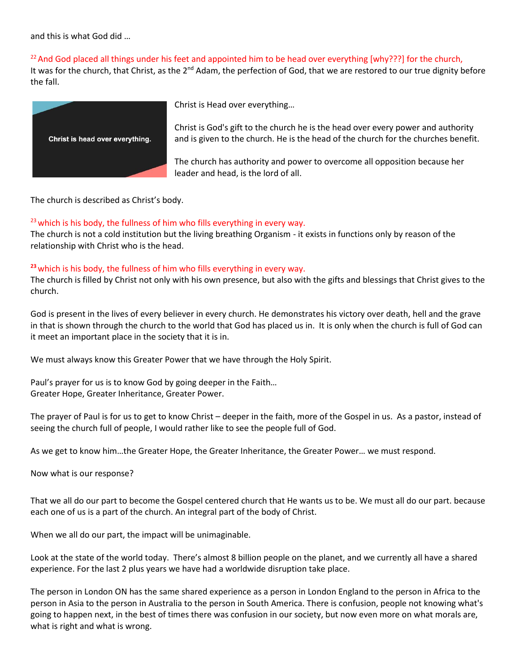and this is what God did …

<sup>22</sup> And God placed all things under his feet and appointed him to be head over everything [why???] for the church,

It was for the church, that Christ, as the 2<sup>nd</sup> Adam, the perfection of God, that we are restored to our true dignity before the fall.



Christ is Head over everything…

Christ is God's gift to the church he is the head over every power and authority and is given to the church. He is the head of the church for the churches benefit.

The church has authority and power to overcome all opposition because her leader and head, is the lord of all.

The church is described as Christ's body.

## $23$  which is his body, the fullness of him who fills everything in every way.

The church is not a cold institution but the living breathing Organism - it exists in functions only by reason of the relationship with Christ who is the head.

# **<sup>23</sup>**which is his body, the fullness of him who fills everything in every way.

The church is filled by Christ not only with his own presence, but also with the gifts and blessings that Christ gives to the church.

God is present in the lives of every believer in every church. He demonstrates his victory over death, hell and the grave in that is shown through the church to the world that God has placed us in. It is only when the church is full of God can it meet an important place in the society that it is in.

We must always know this Greater Power that we have through the Holy Spirit.

Paul's prayer for us is to know God by going deeper in the Faith… Greater Hope, Greater Inheritance, Greater Power.

The prayer of Paul is for us to get to know Christ – deeper in the faith, more of the Gospel in us. As a pastor, instead of seeing the church full of people, I would rather like to see the people full of God.

As we get to know him…the Greater Hope, the Greater Inheritance, the Greater Power… we must respond.

Now what is our response?

That we all do our part to become the Gospel centered church that He wants us to be. We must all do our part. because each one of us is a part of the church. An integral part of the body of Christ.

When we all do our part, the impact will be unimaginable.

Look at the state of the world today. There's almost 8 billion people on the planet, and we currently all have a shared experience. For the last 2 plus years we have had a worldwide disruption take place.

The person in London ON has the same shared experience as a person in London England to the person in Africa to the person in Asia to the person in Australia to the person in South America. There is confusion, people not knowing what's going to happen next, in the best of times there was confusion in our society, but now even more on what morals are, what is right and what is wrong.